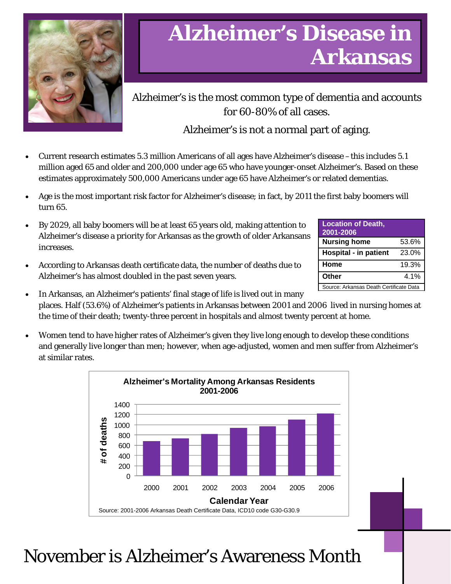

# **Alzheimer's Disease in Arkansas**

Alzheimer's is the most common type of dementia and accounts for 60-80% of all cases.

## Alzheimer's is not a normal part of aging.

- Current research estimates 5.3 million Americans of all ages have Alzheimer's disease –this includes 5.1 million aged 65 and older and 200,000 under age 65 who have younger-onset Alzheimer's. Based on these estimates approximately 500,000 Americans under age 65 have Alzheimer's or related dementias.
- Age is the most important risk factor for Alzheimer's disease; in fact, by 2011 the first baby boomers will turn 65.
- By 2029, all baby boomers will be at least 65 years old, making attention to Alzheimer's disease a priority for Arkansas as the growth of older Arkansans increases.
- According to Arkansas death certificate data, the number of deaths due to Alzheimer's has almost doubled in the past seven years.

| <b>Location of Death,</b><br>2001-2006  |       |
|-----------------------------------------|-------|
| <b>Nursing home</b>                     | 53.6% |
| <b>Hospital - in patient</b>            | 23.0% |
| Home                                    | 19.3% |
| Other                                   | 4.1%  |
| Source: Arkansas Death Certificate Data |       |

- In Arkansas, an Alzheimer's patients' final stage of life is lived out in many places. Half (53.6%) of Alzheimer's patients in Arkansas between 2001 and 2006 lived in nursing homes at the time of their death; twenty-three percent in hospitals and almost twenty percent at home.
- Women tend to have higher rates of Alzheimer's given they live long enough to develop these conditions and generally live longer than men; however, when age-adjusted, women and men suffer from Alzheimer's at similar rates.



November is Alzheimer's Awareness Month